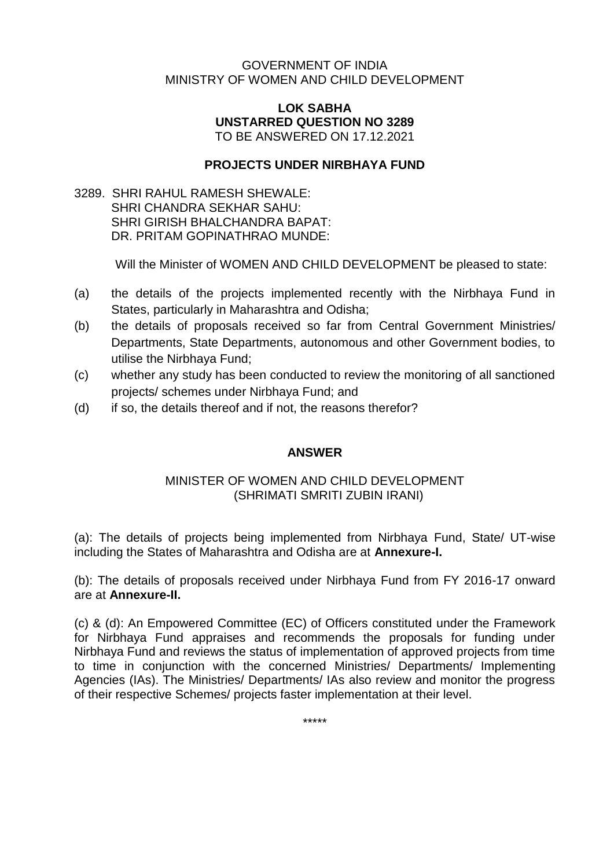### GOVERNMENT OF INDIA MINISTRY OF WOMEN AND CHILD DEVELOPMENT

#### **LOK SABHA UNSTARRED QUESTION NO 3289** TO BE ANSWERED ON 17.12.2021

## **PROJECTS UNDER NIRBHAYA FUND**

3289. SHRI RAHUL RAMESH SHEWALE: SHRI CHANDRA SEKHAR SAHU: SHRI GIRISH BHALCHANDRA BAPAT: DR. PRITAM GOPINATHRAO MUNDE:

Will the Minister of WOMEN AND CHILD DEVELOPMENT be pleased to state:

- (a) the details of the projects implemented recently with the Nirbhaya Fund in States, particularly in Maharashtra and Odisha;
- (b) the details of proposals received so far from Central Government Ministries/ Departments, State Departments, autonomous and other Government bodies, to utilise the Nirbhaya Fund;
- (c) whether any study has been conducted to review the monitoring of all sanctioned projects/ schemes under Nirbhaya Fund; and
- (d) if so, the details thereof and if not, the reasons therefor?

### **ANSWER**

### MINISTER OF WOMEN AND CHILD DEVELOPMENT (SHRIMATI SMRITI ZUBIN IRANI)

(a): The details of projects being implemented from Nirbhaya Fund, State/ UT-wise including the States of Maharashtra and Odisha are at **Annexure-I.**

(b): The details of proposals received under Nirbhaya Fund from FY 2016-17 onward are at **Annexure-II.**

(c) & (d): An Empowered Committee (EC) of Officers constituted under the Framework for Nirbhaya Fund appraises and recommends the proposals for funding under Nirbhaya Fund and reviews the status of implementation of approved projects from time to time in conjunction with the concerned Ministries/ Departments/ Implementing Agencies (IAs). The Ministries/ Departments/ IAs also review and monitor the progress of their respective Schemes/ projects faster implementation at their level.

\*\*\*\*\*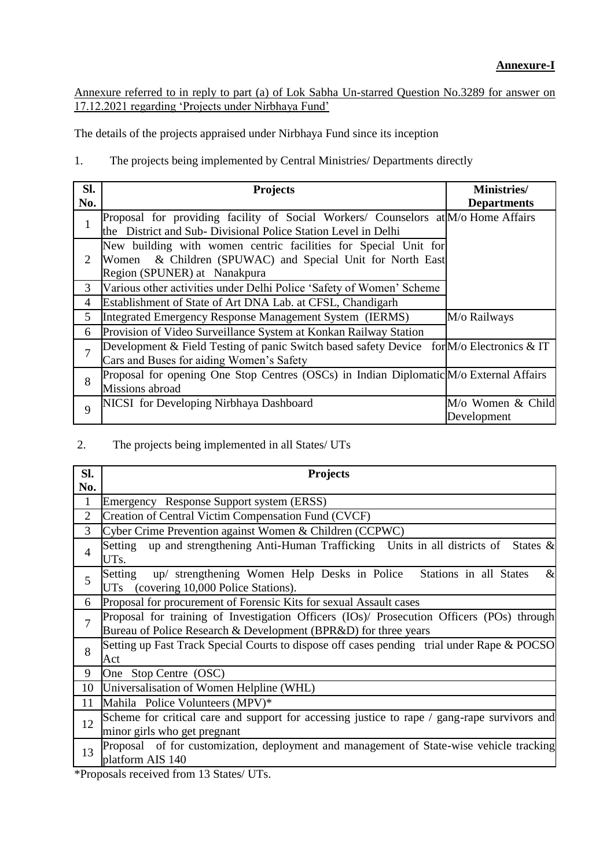Annexure referred to in reply to part (a) of Lok Sabha Un-starred Question No.3289 for answer on 17.12.2021 regarding 'Projects under Nirbhaya Fund'

The details of the projects appraised under Nirbhaya Fund since its inception

1. The projects being implemented by Central Ministries/ Departments directly

| Sl.            | <b>Projects</b>                                                                             | <b>Ministries</b> / |
|----------------|---------------------------------------------------------------------------------------------|---------------------|
| No.            |                                                                                             | <b>Departments</b>  |
|                | Proposal for providing facility of Social Workers/ Counselors at M/o Home Affairs           |                     |
|                | the District and Sub-Divisional Police Station Level in Delhi                               |                     |
|                | New building with women centric facilities for Special Unit for                             |                     |
| 2              | Women & Children (SPUWAC) and Special Unit for North East                                   |                     |
|                | Region (SPUNER) at Nanakpura                                                                |                     |
| 3              | Various other activities under Delhi Police 'Safety of Women' Scheme                        |                     |
| $\overline{4}$ | Establishment of State of Art DNA Lab. at CFSL, Chandigarh                                  |                     |
| 5              | Integrated Emergency Response Management System (IERMS)                                     | M/o Railways        |
| 6              | Provision of Video Surveillance System at Konkan Railway Station                            |                     |
| $\overline{7}$ | Development & Field Testing of panic Switch based safety Device for $M$ /o Electronics & IT |                     |
|                | Cars and Buses for aiding Women's Safety                                                    |                     |
| 8              | Proposal for opening One Stop Centres (OSCs) in Indian Diplomatic M/o External Affairs      |                     |
|                | Missions abroad                                                                             |                     |
| 9              | NICSI for Developing Nirbhaya Dashboard                                                     | M/o Women & Child   |
|                |                                                                                             | Development         |

### 2. The projects being implemented in all States/ UTs

| Sl.<br>No.               | <b>Projects</b>                                                                                                                                              |
|--------------------------|--------------------------------------------------------------------------------------------------------------------------------------------------------------|
| $\mathbf{1}$             | Emergency Response Support system (ERSS)                                                                                                                     |
| $\overline{2}$           | Creation of Central Victim Compensation Fund (CVCF)                                                                                                          |
| 3                        | Cyber Crime Prevention against Women & Children (CCPWC)                                                                                                      |
| $\overline{\mathcal{A}}$ | Setting up and strengthening Anti-Human Trafficking Units in all districts of States &<br>UTs.                                                               |
| 5                        | up/ strengthening Women Help Desks in Police Stations in all States<br>$\&$<br>Setting<br>(covering 10,000 Police Stations).<br>UTs                          |
| 6                        | Proposal for procurement of Forensic Kits for sexual Assault cases                                                                                           |
| 7                        | Proposal for training of Investigation Officers (IOs)/ Prosecution Officers (POs) through<br>Bureau of Police Research & Development (BPR&D) for three years |
| 8                        | Setting up Fast Track Special Courts to dispose off cases pending trial under Rape & POCSO<br>Act                                                            |
| 9                        | One Stop Centre (OSC)                                                                                                                                        |
| 10                       | Universalisation of Women Helpline (WHL)                                                                                                                     |
| 11                       | Mahila Police Volunteers (MPV)*                                                                                                                              |
| 12                       | Scheme for critical care and support for accessing justice to rape / gang-rape survivors and<br>minor girls who get pregnant                                 |
| 13                       | Proposal of for customization, deployment and management of State-wise vehicle tracking<br>platform AIS 140                                                  |

\*Proposals received from 13 States/ UTs.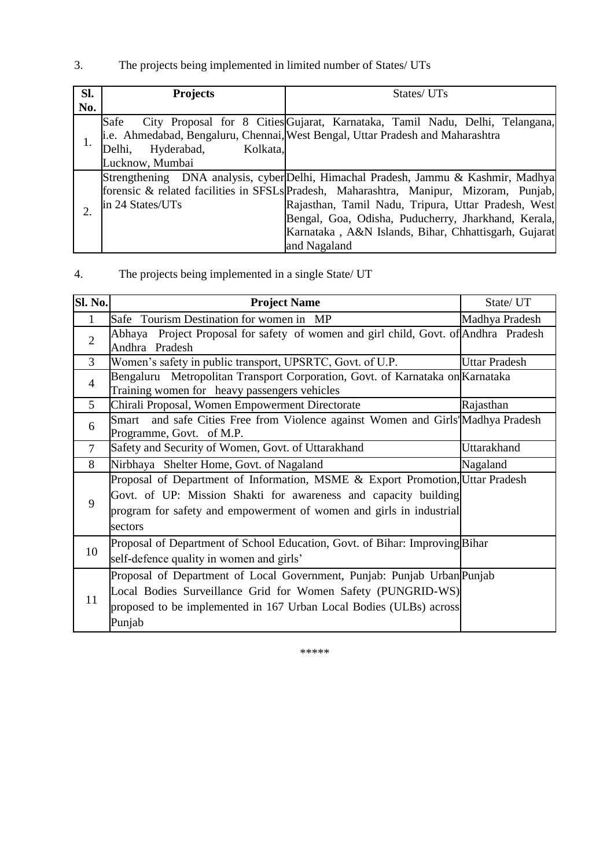# 3. The projects being implemented in limited number of States/ UTs

| SI. | <b>Projects</b>                  | States/ UTs                                                                            |  |
|-----|----------------------------------|----------------------------------------------------------------------------------------|--|
| No. |                                  |                                                                                        |  |
| 1.  | Safe                             | City Proposal for 8 Cities Gujarat, Karnataka, Tamil Nadu, Delhi, Telangana,           |  |
|     |                                  | i.e. Ahmedabad, Bengaluru, Chennai, West Bengal, Uttar Pradesh and Maharashtra         |  |
|     | Hyderabad,<br>Kolkata,<br>Delhi, |                                                                                        |  |
|     | Lucknow, Mumbai                  |                                                                                        |  |
|     |                                  | Strengthening DNA analysis, cyber Delhi, Himachal Pradesh, Jammu & Kashmir, Madhya     |  |
| 2.  |                                  | forensic & related facilities in SFSLs Pradesh, Maharashtra, Manipur, Mizoram, Punjab, |  |
|     | in 24 States/UTs                 | Rajasthan, Tamil Nadu, Tripura, Uttar Pradesh, West                                    |  |
|     |                                  | Bengal, Goa, Odisha, Puducherry, Jharkhand, Kerala,                                    |  |
|     |                                  | Karnataka, A&N Islands, Bihar, Chhattisgarh, Gujarat                                   |  |
|     |                                  | and Nagaland                                                                           |  |

4. The projects being implemented in a single State/ UT

| Sl. No.        | <b>Project Name</b>                                                                                                           | State/ UT            |
|----------------|-------------------------------------------------------------------------------------------------------------------------------|----------------------|
| 1              | Safe Tourism Destination for women in MP                                                                                      | Madhya Pradesh       |
| $\overline{2}$ | Abhaya Project Proposal for safety of women and girl child, Govt. of Andhra Pradesh<br>Andhra Pradesh                         |                      |
| 3              | Women's safety in public transport, UPSRTC, Govt. of U.P.                                                                     | <b>Uttar Pradesh</b> |
| $\overline{4}$ | Bengaluru Metropolitan Transport Corporation, Govt. of Karnataka on Karnataka<br>Training women for heavy passengers vehicles |                      |
| 5              | Chirali Proposal, Women Empowerment Directorate                                                                               | Rajasthan            |
| 6              | Smart and safe Cities Free from Violence against Women and Girls Madhya Pradesh<br>Programme, Govt. of M.P.                   |                      |
| $\tau$         | Safety and Security of Women, Govt. of Uttarakhand                                                                            | Uttarakhand          |
| 8              | Nirbhaya Shelter Home, Govt. of Nagaland                                                                                      | Nagaland             |
|                | Proposal of Department of Information, MSME & Export Promotion, Uttar Pradesh                                                 |                      |
| 9              | Govt. of UP: Mission Shakti for awareness and capacity building                                                               |                      |
|                | program for safety and empowerment of women and girls in industrial                                                           |                      |
|                | sectors                                                                                                                       |                      |
| 10             | Proposal of Department of School Education, Govt. of Bihar: Improving Bihar                                                   |                      |
|                | self-defence quality in women and girls'                                                                                      |                      |
|                | Proposal of Department of Local Government, Punjab: Punjab Urban Punjab                                                       |                      |
|                | Local Bodies Surveillance Grid for Women Safety (PUNGRID-WS)                                                                  |                      |
| 11             | proposed to be implemented in 167 Urban Local Bodies (ULBs) across                                                            |                      |
|                | Punjab                                                                                                                        |                      |

\*\*\*\*\*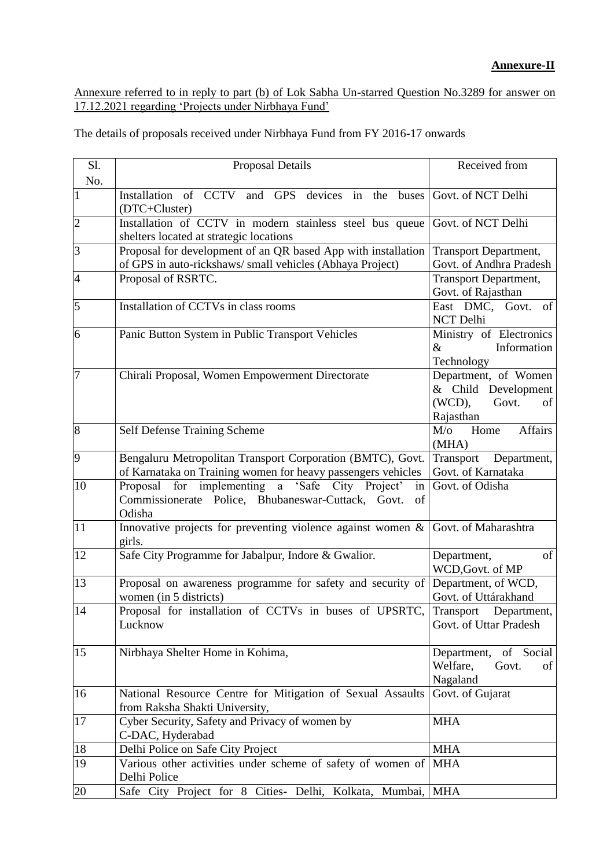Annexure referred to in reply to part (b) of Lok Sabha Un-starred Question No.3289 for answer on 17.12.2021 regarding 'Projects under Nirbhaya Fund'

The details of proposals received under Nirbhaya Fund from FY 2016-17 onwards

| Sl.<br>No.     | Proposal Details                                                                                                                       | Received from                                                                        |
|----------------|----------------------------------------------------------------------------------------------------------------------------------------|--------------------------------------------------------------------------------------|
| $\mathbf{1}$   | Installation of CCTV<br>and GPS devices in<br>buses<br>the<br>(DTC+Cluster)                                                            | Govt. of NCT Delhi                                                                   |
| $\overline{c}$ | Installation of CCTV in modern stainless steel bus queue<br>shelters located at strategic locations                                    | Govt. of NCT Delhi                                                                   |
| 3              | Proposal for development of an QR based App with installation<br>of GPS in auto-rickshaws/small vehicles (Abhaya Project)              | <b>Transport Department,</b><br>Govt. of Andhra Pradesh                              |
| $\overline{4}$ | Proposal of RSRTC.                                                                                                                     | <b>Transport Department,</b><br>Govt. of Rajasthan                                   |
| $\overline{5}$ | Installation of CCTVs in class rooms                                                                                                   | East DMC, Govt. of<br><b>NCT Delhi</b>                                               |
| 6              | Panic Button System in Public Transport Vehicles                                                                                       | Ministry of Electronics<br>Information<br>$\&$<br>Technology                         |
| $\overline{7}$ | Chirali Proposal, Women Empowerment Directorate                                                                                        | Department, of Women<br>& Child Development<br>$(WCD)$ ,<br>Govt.<br>of<br>Rajasthan |
| $\overline{8}$ | <b>Self Defense Training Scheme</b>                                                                                                    | Affairs<br>$M$ / $\sigma$<br>Home<br>(MHA)                                           |
| 9              | Bengaluru Metropolitan Transport Corporation (BMTC), Govt.<br>of Karnataka on Training women for heavy passengers vehicles             | Transport<br>Department,<br>Govt. of Karnataka                                       |
| 10             | Proposal for implementing a 'Safe City Project'<br>$\frac{1}{2}$<br>Commissionerate Police, Bhubaneswar-Cuttack, Govt.<br>of<br>Odisha | Govt. of Odisha                                                                      |
| 11             | Innovative projects for preventing violence against women $\&$<br>girls.                                                               | Govt. of Maharashtra                                                                 |
| 12             | Safe City Programme for Jabalpur, Indore & Gwalior.                                                                                    | of<br>Department,<br>WCD, Govt. of MP                                                |
| 13             | Proposal on awareness programme for safety and security of<br>women (in 5 districts)                                                   | Department, of WCD,<br>Govt. of Uttárakhand                                          |
| 14             | Proposal for installation of CCTVs in buses of UPSRTC,<br>Lucknow                                                                      | Transport<br>Department,<br>Govt. of Uttar Pradesh                                   |
| 15             | Nirbhaya Shelter Home in Kohima,                                                                                                       | Department, of Social<br>Welfare,<br>Govt.<br>of<br>Nagaland                         |
| 16             | National Resource Centre for Mitigation of Sexual Assaults<br>from Raksha Shakti University,                                           | Govt. of Gujarat                                                                     |
| 17             | Cyber Security, Safety and Privacy of women by<br>C-DAC, Hyderabad                                                                     | <b>MHA</b>                                                                           |
| 18             | Delhi Police on Safe City Project                                                                                                      | <b>MHA</b>                                                                           |
| 19             | Various other activities under scheme of safety of women of<br>Delhi Police                                                            | <b>MHA</b>                                                                           |
| 20             | Safe City Project for 8 Cities- Delhi, Kolkata, Mumbai,                                                                                | <b>MHA</b>                                                                           |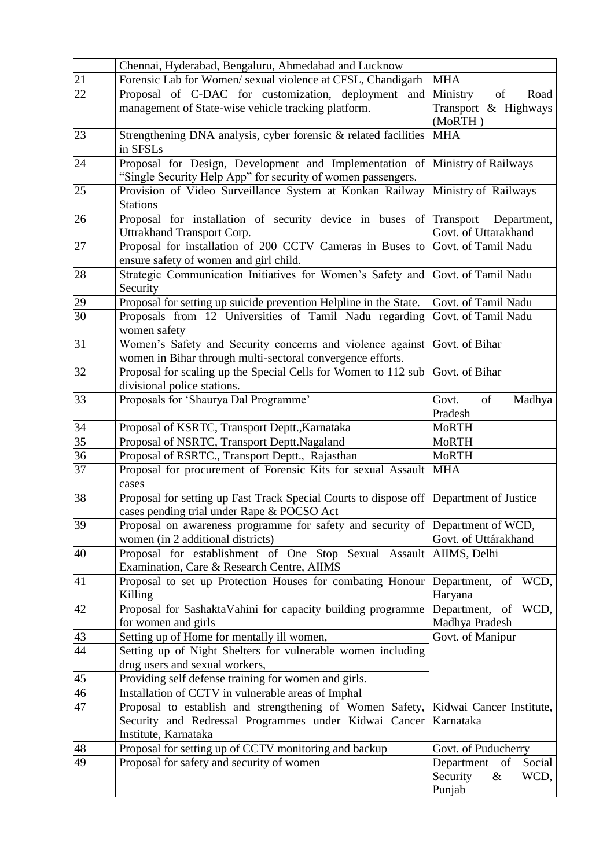|                 | Chennai, Hyderabad, Bengaluru, Ahmedabad and Lucknow                                                                                      |                                                                  |
|-----------------|-------------------------------------------------------------------------------------------------------------------------------------------|------------------------------------------------------------------|
| 21              | Forensic Lab for Women/ sexual violence at CFSL, Chandigarh                                                                               | <b>MHA</b>                                                       |
| $\overline{22}$ | Proposal of C-DAC for customization, deployment<br>and<br>management of State-wise vehicle tracking platform.                             | of<br>Ministry<br>Road<br>Transport & Highways<br>(MoRTH)        |
| 23              | Strengthening DNA analysis, cyber forensic & related facilities<br>in SFSLs                                                               | <b>MHA</b>                                                       |
| 24              | Proposal for Design, Development and Implementation of<br>"Single Security Help App" for security of women passengers.                    | Ministry of Railways                                             |
| 25              | Provision of Video Surveillance System at Konkan Railway<br><b>Stations</b>                                                               | Ministry of Railways                                             |
| 26              | Proposal for installation of security device in buses<br>Uttrakhand Transport Corp.                                                       | of Transport<br>Department,<br>Govt. of Uttarakhand              |
| 27              | Proposal for installation of 200 CCTV Cameras in Buses to Govt. of Tamil Nadu<br>ensure safety of women and girl child.                   |                                                                  |
| 28              | Strategic Communication Initiatives for Women's Safety and Govt. of Tamil Nadu<br>Security                                                |                                                                  |
| 29              | Proposal for setting up suicide prevention Helpline in the State.                                                                         | Govt. of Tamil Nadu                                              |
| $\overline{30}$ | Proposals from 12 Universities of Tamil Nadu regarding<br>women safety                                                                    | Govt. of Tamil Nadu                                              |
| 31              | Women's Safety and Security concerns and violence against<br>women in Bihar through multi-sectoral convergence efforts.                   | Govt. of Bihar                                                   |
| 32              | Proposal for scaling up the Special Cells for Women to 112 sub<br>divisional police stations.                                             | Govt. of Bihar                                                   |
| 33              | Proposals for 'Shaurya Dal Programme'                                                                                                     | of<br>Govt.<br>Madhya<br>Pradesh                                 |
| $\overline{34}$ | Proposal of KSRTC, Transport Deptt., Karnataka                                                                                            | <b>MoRTH</b>                                                     |
| $\overline{35}$ | Proposal of NSRTC, Transport Deptt.Nagaland                                                                                               | <b>MoRTH</b>                                                     |
| 36              | Proposal of RSRTC., Transport Deptt., Rajasthan                                                                                           | <b>MoRTH</b>                                                     |
| $\overline{37}$ | Proposal for procurement of Forensic Kits for sexual Assault<br>cases                                                                     | <b>MHA</b>                                                       |
| 38              | Proposal for setting up Fast Track Special Courts to dispose off<br>cases pending trial under Rape & POCSO Act                            | Department of Justice                                            |
| 39              | Proposal on awareness programme for safety and security of Department of WCD,<br>women (in 2 additional districts)                        | Govt. of Uttárakhand                                             |
| 40              | Proposal for establishment of One Stop Sexual Assault AIIMS, Delhi<br>Examination, Care & Research Centre, AIIMS                          |                                                                  |
| 41              | Proposal to set up Protection Houses for combating Honour Department, of WCD,<br>Killing                                                  | Haryana                                                          |
| 42              | Proposal for SashaktaVahini for capacity building programme<br>for women and girls                                                        | Department, of WCD,<br>Madhya Pradesh                            |
| 43              | Setting up of Home for mentally ill women,                                                                                                | Govt. of Manipur                                                 |
| 44              | Setting up of Night Shelters for vulnerable women including<br>drug users and sexual workers,                                             |                                                                  |
| 45              | Providing self defense training for women and girls.                                                                                      |                                                                  |
| 46              | Installation of CCTV in vulnerable areas of Imphal                                                                                        |                                                                  |
| 47              | Proposal to establish and strengthening of Women Safety,<br>Security and Redressal Programmes under Kidwai Cancer<br>Institute, Karnataka | Kidwai Cancer Institute,<br>Karnataka                            |
| 48              | Proposal for setting up of CCTV monitoring and backup                                                                                     | Govt. of Puducherry                                              |
| 49              | Proposal for safety and security of women                                                                                                 | Department<br>of<br>Social<br>Security<br>$\&$<br>WCD,<br>Punjab |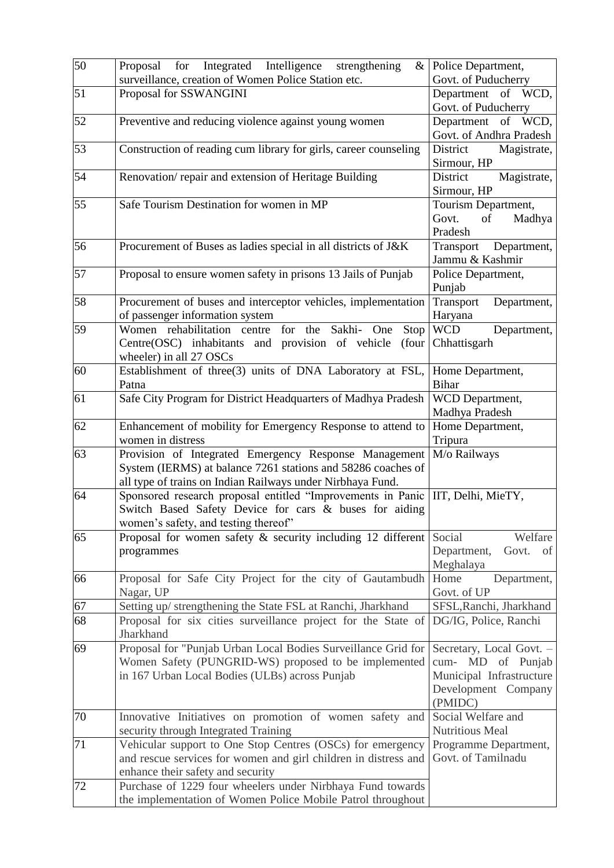| 50              | for Integrated Intelligence<br>strengthening<br>Proposal<br>$\&$<br>surveillance, creation of Women Police Station etc.                                                             | Police Department,<br>Govt. of Puducherry                                                                   |
|-----------------|-------------------------------------------------------------------------------------------------------------------------------------------------------------------------------------|-------------------------------------------------------------------------------------------------------------|
| 51              | Proposal for SSWANGINI                                                                                                                                                              | Department of WCD,<br>Govt. of Puducherry                                                                   |
| 52              | Preventive and reducing violence against young women                                                                                                                                | Department of WCD,<br>Govt. of Andhra Pradesh                                                               |
| 53              | Construction of reading cum library for girls, career counseling                                                                                                                    | District<br>Magistrate,<br>Sirmour, HP                                                                      |
| 54              | Renovation/repair and extension of Heritage Building                                                                                                                                | Magistrate,<br>District<br>Sirmour, HP                                                                      |
| 55              | Safe Tourism Destination for women in MP                                                                                                                                            | Tourism Department,<br>Govt.<br>$\sigma$<br>Madhya<br>Pradesh                                               |
| 56              | Procurement of Buses as ladies special in all districts of J&K                                                                                                                      | Transport Department,<br>Jammu & Kashmir                                                                    |
| 57              | Proposal to ensure women safety in prisons 13 Jails of Punjab                                                                                                                       | Police Department,<br>Punjab                                                                                |
| 58              | Procurement of buses and interceptor vehicles, implementation<br>of passenger information system                                                                                    | Transport<br>Department,<br>Haryana                                                                         |
| 59              | Sakhi-<br>for the<br>Women rehabilitation centre<br>One<br>Stop<br>Centre(OSC) inhabitants and provision of vehicle<br>(four<br>wheeler) in all 27 OSCs                             | <b>WCD</b><br>Department,<br>Chhattisgarh                                                                   |
| $\overline{60}$ | Establishment of three(3) units of DNA Laboratory at FSL,<br>Patna                                                                                                                  | Home Department,<br><b>Bihar</b>                                                                            |
| 61              | Safe City Program for District Headquarters of Madhya Pradesh                                                                                                                       | WCD Department,<br>Madhya Pradesh                                                                           |
| 62              | Enhancement of mobility for Emergency Response to attend to<br>women in distress                                                                                                    | Home Department,<br>Tripura                                                                                 |
| 63              | Provision of Integrated Emergency Response Management<br>System (IERMS) at balance 7261 stations and 58286 coaches of<br>all type of trains on Indian Railways under Nirbhaya Fund. | M/o Railways                                                                                                |
| 64              | Sponsored research proposal entitled "Improvements in Panic  <br>Switch Based Safety Device for cars & buses for aiding<br>women's safety, and testing thereof"                     | IIT, Delhi, MieTY,                                                                                          |
| 65              | Proposal for women safety $\&$ security including 12 different<br>programmes                                                                                                        | Welfare<br>Social<br>Department,<br>Govt.<br>of<br>Meghalaya                                                |
| 66              | Proposal for Safe City Project for the city of Gautambudh<br>Nagar, UP                                                                                                              | Home<br>Department,<br>Govt. of UP                                                                          |
| 67<br>68        | Setting up/ strengthening the State FSL at Ranchi, Jharkhand<br>Proposal for six cities surveillance project for the State of<br>Jharkhand                                          | SFSL, Ranchi, Jharkhand<br>DG/IG, Police, Ranchi                                                            |
| 69              | Proposal for "Punjab Urban Local Bodies Surveillance Grid for<br>Women Safety (PUNGRID-WS) proposed to be implemented<br>in 167 Urban Local Bodies (ULBs) across Punjab             | Secretary, Local Govt. -<br>cum- MD of Punjab<br>Municipal Infrastructure<br>Development Company<br>(PMIDC) |
| 70              | Innovative Initiatives on promotion of women safety and<br>security through Integrated Training                                                                                     | Social Welfare and<br>Nutritious Meal                                                                       |
| 71              | Vehicular support to One Stop Centres (OSCs) for emergency<br>and rescue services for women and girl children in distress and<br>enhance their safety and security                  | Programme Department,<br>Govt. of Tamilnadu                                                                 |
| 72              | Purchase of 1229 four wheelers under Nirbhaya Fund towards<br>the implementation of Women Police Mobile Patrol throughout                                                           |                                                                                                             |